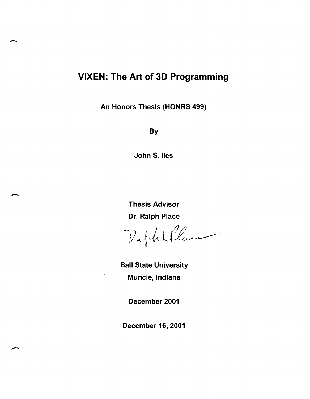# VIXEN: The Art of 3D Programming

.-

 $\overline{\phantom{a}}$ 

An Honors Thesis (HONRS 499)

**By** 

John S. lies

Thesis Advisor

Dr. Ralph Place<br>1/2 f Un Ll Campos

Ball State University Muncie, Indiana

December 2001

December 16, 2001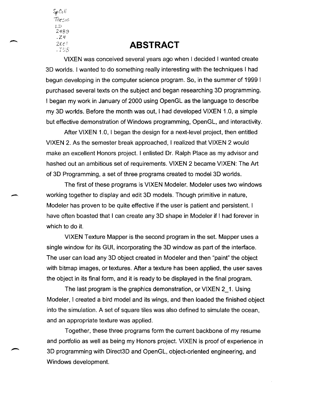SpCol!  $\dot{\tau}$ hesis LD 2489  $.24$ *20e'* 

-

## .T::8 **ABSTRACT**

VIXEN was conceived several years ago when I decided I wanted create 3D worlds. I wanted to do something really interesting with the techniques I had begun developing in the computer science program. So, in the summer of 1999 I purchased several texts on the subject and began researching 3D programming. I began my work in January of 2000 using OpenGL as the language to describe my 3D worlds. Before the month was out, I had developed VIXEN 1.0, a simple but effective demonstration of Windows programming, OpenGL, and interactivity.

After VIXEN 1.0, I began the design for a next-level project, then entitled VIXEN 2. As the semester break approached, I realized that VIXEN 2 would make an excellent Honors project. I enlisted Dr. Ralph Place as my advisor and hashed out an ambitious set of requirements. VIXEN 2 became VIXEN: The Art of 3D Programming, a set of three programs created to model 3D worlds.

The first of these programs is VIXEN Modeler. Modeler uses two windows - working together to display and edit 3D models. Though primitive in nature, Modeler has proven to be quite effective if the user is patient and persistent. I have often boasted that I can create any 3D shape in Modeler if I had forever in which to do it.

VIXEN Texture Mapper is the second program in the set. Mapper uses a single window for its GUI, incorporating the 3D window as part of the interface. The user can load any 3D object created in Modeler and then "paint" the object with bitmap images, or textures. After a texture has been applied, the user saves the object in its final form, and it is ready to be displayed in the final program.

The last program is the graphics demonstration, or VIXEN 2\_1. Using Modeler, I created a bird model and its wings, and then loaded the finished object into the simulation. A set of square tiles was also defined to simulate the ocean, and an appropriate texture was applied.

Together, these three programs form the current backbone of my resume and portfolio as well as being my Honors project. VIXEN is proof of experience in 3D programming with Direct3D and OpenGL, object-oriented engineering, and Windows development.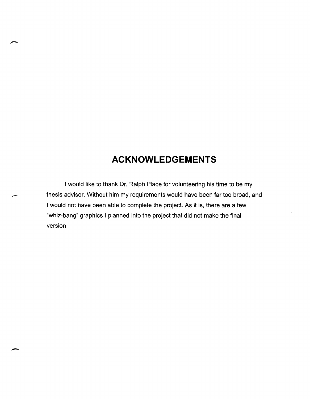# **ACKNOWLEDGEMENTS**

I would like to thank Dr. Ralph Place for volunteering his time to be my thesis advisor. Without him my requirements would have been far too broad, and I would not have been able to complete the project. As it is, there are a few "whiz-bang" graphics I planned into the project that did not make the final version.

-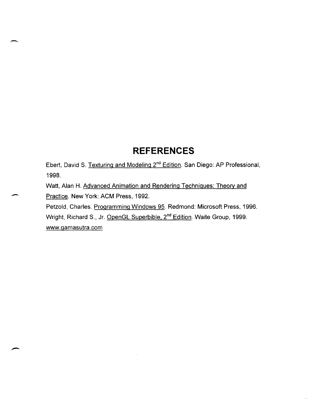# **REFERENCES**

Ebert, David S. Texturing and Modeling 2<sup>nd</sup> Edition. San Diego: AP Professional, 1998.

Watt, Alan H. Advanced Animation and Rendering Techniques: Theory and Practice. New York: ACM Press, 1992.

-

Petzold, Charles. Programming Windows 95. Redmond: Microsoft Press, 1996. Wright, Richard S., Jr. OpenGL Superbible, 2<sup>nd</sup> Edition. Waite Group, 1999. www.gamasutra.com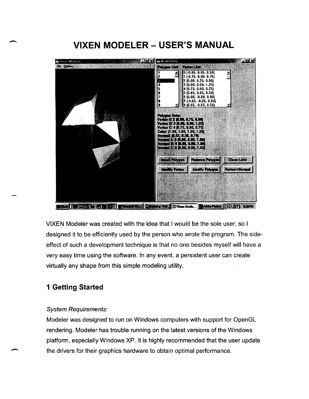# **VIXEN MODELER - USER'S MANUAL**



MARI SACTO CHOI D'AMMINI DAMININ DE

VIXEN Modeler was created with the idea that I would be the sole user, so I designed it to be efficiently used by the person who wrote the program. The sideeffect of such a development technique is that no one besides myself will have a very easy time using the software. In any event, a persistent user can create virtually any shape from this simple modeling utility.

## **1 Getting Started**

-

-

### System Requirements:

Modeler was designed to run on Windows computers with support for OpenGL rendering. Modeler has trouble running on the latest versions of the Windows platform, especially Windows XP. It is highly recommended that the user update the drivers for their graphics hardware to obtain optimal performance.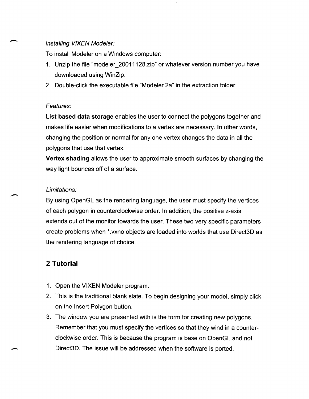### Installing VIXEN Modeler:

To install Modeler on a Windows computer:

- 1. Unzip the file "modeler\_20011128.zip" or whatever version number you have downloaded using WinZip.
- 2. Double-click the executable file "Modeler 2a" in the extraction folder.

### Features:

 $\overline{\phantom{a}}$ 

-

**List based data storage** enables the user to connect the polygons together and makes life easier when modifications to a vertex are necessary. In other words, changing the position or normal for anyone vertex changes the data in all the polygons that use that vertex.

**Vertex shading** allows the user to approximate smooth surfaces by changing the way light bounces off of a surface.

### Limitations:

By using OpenGL as the rendering language, the user must specify the vertices of each polygon in counterclockwise order. In addition, the positive z-axis extends out of the monitor towards the user. These two very specific parameters create problems when \*.vxno objects are loaded into worlds that use Direct3D as the rendering language of choice.

### **2 Tutorial**

- 1. Open the VIXEN Modeler program.
- 2. This is the traditional blank slate. To begin designing your model, simply click on the Insert Polygon button.
- 3. The window you are presented with is the form for creating new polygons. Remember that you must specify the vertices so that they wind in a counterclockwise order. This is because the program is base on OpenGL and not Direct3D. The issue will be addressed when the software is ported.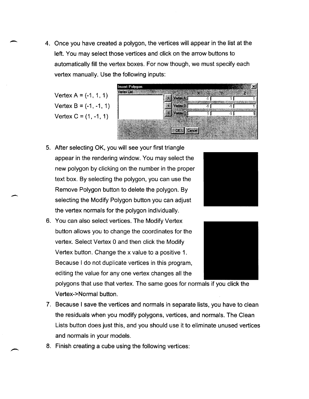4. Once you have created a polygon, the vertices will appear in the list at the left. You may select those vertices and click on the arrow buttons to automatically fill the vertex boxes. For now though, we must specify each vertex manually. Use the following inputs:

Vertex  $A = (-1, 1, 1)$ Vertex  $B = (-1, -1, 1)$ Vertex  $C = (1, -1, 1)$ 

-

-



- 5. After selecting OK, you will see your first triangle appear in the rendering window. You may select the new polygon by clicking on the number in the proper text box. By selecting the polygon, you can use the Remove Polygon button to delete the polygon. By selecting the Modify Polygon button you can adjust the vertex normals for the polygon individually.
- 6. You can also select vertices. The Modify Vertex button allows you to change the coordinates for the vertex. Select Vertex 0 and then click the Modify Vertex button. Change the x value to a positive 1. Because I do not duplicate vertices in this program, editing the value for anyone vertex changes all the





polygons that use that vertex. The same goes for normals if you click the Vertex-> Normal button.

- 7. Because I save the vertices and normals in separate lists, you have to clean the residuals when you modify polygons, vertices, and normals. The Clean Lists button does just this, and you should use it to eliminate unused vertices and normals in your models.
- 8. Finish creating a cube using the following vertices: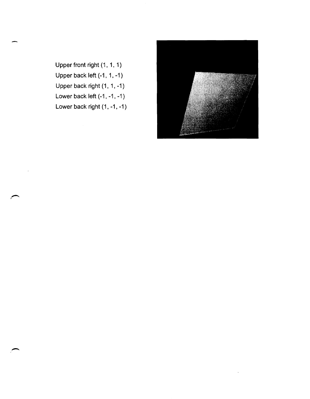Upper front right (1, 1, 1) Upper back left (-1, 1, -1) Upper back right (1, 1, -1) Lower back left (-1, -1, -1) Lower back right (1, -1, -1)

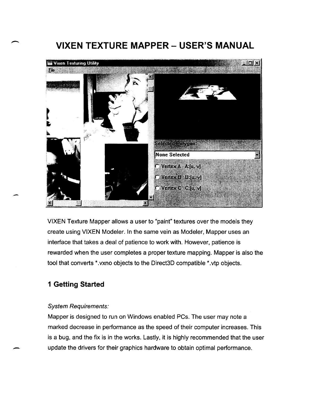# **VIXEN TEXTURE MAPPER - USER'S MANUAL**



VIXEN Texture Mapper allows a user to "paint" textures over the models they create using VIXEN Modeler. In the same vein as Modeler, Mapper uses an interface that takes a deal of patience to work with. However, patience is rewarded when the user completes a proper texture mapping. Mapper is also the tool that converts \*.vxno objects to the Direct3D compatible \*.vtp objects.

### **1 Getting Started**

### System Requirements:

Mapper is designed to run on Windows enabled PCs. The user may note a marked decrease in performance as the speed of their computer increases. This is a bug, and the fix is in the works. Lastly, it is highly recommended that the user update the drivers for their graphics hardware to obtain optimal performance.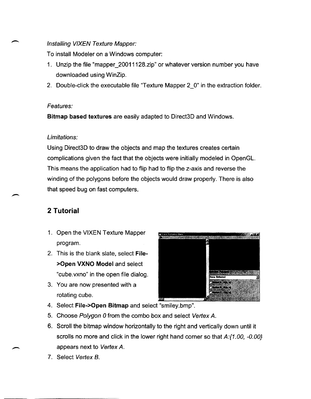### Installing VIXEN Texture Mapper:

To install Modeler on a Windows computer:

- 1. Unzip the file "mapper\_2001112B.zip" or whatever version number you have downloaded using WinZip.
- 2. Double-click the executable file "Texture Mapper 2\_0" in the extraction folder.

### Features:

**Bitmap based textures** are easily adapted to Direct3D and Windows.

### Limitations:

Using Direct3D to draw the objects and map the textures creates certain complications given the fact that the objects were initially modeled in OpenGL. This means the application had to flip had to flip the z-axis and reverse the winding of the polygons before the objects would draw properly. There is also that speed bug on fast computers.

## **2 Tutorial**

- 1. Open the VIXEN Texture Mapper program.
- 2. This is the blank slate, select **File- >Open VXNO Model** and select "cube.vxno" in the open file dialog.
- 3. You are now presented with a rotating cube.
- Manufacture exploration **STYPER DESK**
- 4. Select **File->Open Bitmap** and select "smiley.bmp".
- 5. Choose Polygon 0 from the combo box and select Vertex A.
- 6. Scroll the bitmap window horizontally to the right and vertically down until it scrolls no more and click in the lower right hand corner so that A:{1.00, -0.00} appears next to Vertex A.
- 7. Select Vertex B.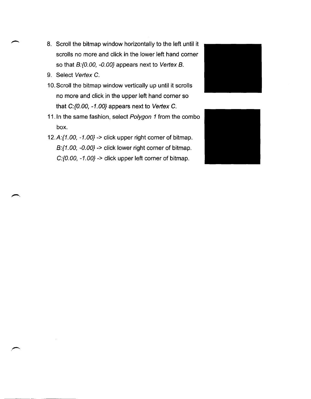- 8. Scroll the bitmap window horizontally to the left until it scrolls no more and click in the lower left hand corner so that B:{0.00, -0.00} appears next to Vertex B.
- 9. Select Vertex C.
- 10. Scroll the bitmap window vertically up until it scrolls no more and click in the upper left hand corner so that C:{O.OO, -1.00} appears next to Vertex C.
- 11. In the same fashion, select Polygon 1 from the combo box.
- 12.A: $\{1.00, -1.00\}$  -> click upper right corner of bitmap. B:{1.00, -O.OO} -> click lower right corner of bitmap. C:{O.OO, -1.00} -> click upper left corner of bitmap.



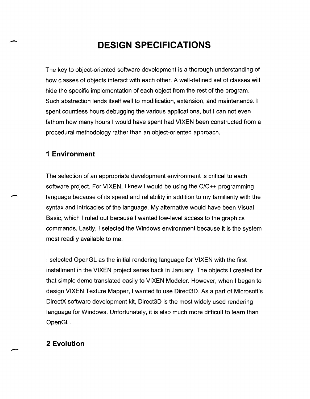# **DESIGN SPECIFICATIONS**

The key to object-oriented software development is a thorough understanding of how classes of objects interact with each other. A well-defined set of classes will hide the specific implementation of each object from the rest of the program. Such abstraction lends itself well to modification, extension, and maintenance. I spent countless hours debugging the various applications, but I can not even fathom how many hours I would have spent had VIXEN been constructed from a procedural methodology rather than an object-oriented approach.

### **1 Environment**

 $\overline{\phantom{a}}$ 

-

The selection of an appropriate development environment is critical to each software project. For VIXEN, I knew I would be using the C/C++ programming language because of its speed and reliability in addition to my familiarity with the syntax and intricacies of the language. My alternative would have been Visual Basic, which I ruled out because I wanted low-level access to the graphics commands. Lastly, I selected the Windows environment because it is the system most readily available to me.

I selected OpenGL as the initial rendering language for VIXEN with the first installment in the VIXEN project series back in January. The objects I created for that simple demo translated easily to VIXEN Modeler. However, when I began to design VIXEN Texture Mapper, I wanted to use Direct3D. As a part of Microsoft's DirectX software development kit, Direct3D is the most widely used rendering language for Windows. Unfortunately, it is also much more difficult to learn than OpenGL.

### **2 Evolution**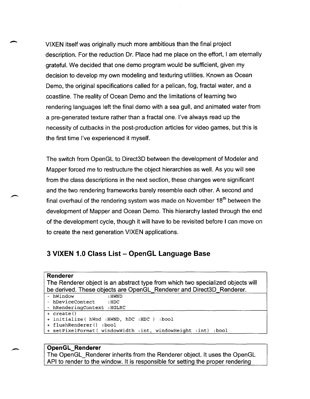VIXEN itself was originally much more ambitious than the final project description. For the reduction Dr. Place had me place on the effort, I am eternally grateful. We decided that one demo program would be sufficient, given my decision to develop my own modeling and texturing utilities. Known as Ocean Demo, the original specifications called for a pelican, fog, fractal water, and a coastline. The reality of Ocean Demo and the limitations of learning two rendering languages left the final demo with a sea gull, and animated water from a pre-generated texture rather than a fractal one. I've always read up the necessity of cutbacks in the post-production articles for video games, but this is the first time I've experienced it myself.

The switch from OpenGL to Direct3D between the development of Modeler and Mapper forced me to restructure the object hierarchies as well. As you will see from the class descriptions in the next section, these changes were significant and the two rendering frameworks barely resemble each other. A second and final overhaul of the rendering system was made on November  $18<sup>th</sup>$  between the development of Mapper and Ocean Demo. This hierarchy lasted through the end of the development cycle, though it will have to be revisited before I can move on to create the next generation VIXEN applications.

### **3 VIXEN 1.0 Class List - OpenGL Language Base**

#### **Renderer**

-

The Renderer object is an abstract type from which two specialized objects will be derived. These objects are OpenGL Renderer and Direct3D Renderer.

```
- hWindow :HWND
```

```
- hDeviceContect : HDC
```
- hRenderingContext :HGLRC

```
+ create ()
```
 $\overline{\phantom{a}}$ 

```
+ initialize ( hWnd : HWND, hDC :HDC ) :bool
```

```
+ flushRenderer() :bool
```

```
+ setpixelFormat( windowWidth :int, windowHeight :int) :bool
```
### **OpenGL\_Renderer**

The OpenGL\_Renderer inherits from the Renderer object. It uses the OpenGL API to render to the window. It is responsible for setting the proper rendering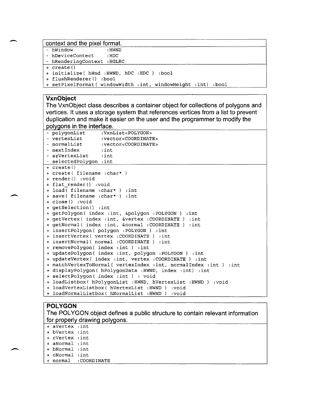### **context and the pixel format.**

| - hWindow                   | : HWND                                                       |  |
|-----------------------------|--------------------------------------------------------------|--|
| - hDeviceContect            | $\cdot$ HDC                                                  |  |
| - hRenderingContext : HGLRC |                                                              |  |
| + create()                  |                                                              |  |
|                             | + initialize (hWnd : HWND, hDC : HDC ) : bool                |  |
| + flushRenderer() :bool     |                                                              |  |
|                             | + setPixelFormat( windowWidth :int, windowHeight :int) :bool |  |

### **VxnObject**

**The VxnObject class describes a container object for collections of polygons and vertices. It uses a storage system that references vertices from a list to prevent duplication and make it easier on the user and the programmer to modify the polygons in the interface.** 

| - polygonList<br>:VxnList <polygon></polygon>                    |  |  |  |
|------------------------------------------------------------------|--|--|--|
| - vertexList :vector <coordinate></coordinate>                   |  |  |  |
| - normalList :vector <coordinate></coordinate>                   |  |  |  |
| - nextIndex : int                                                |  |  |  |
| - szVertexList : int                                             |  |  |  |
| - selectedPolygon : int                                          |  |  |  |
| + create()                                                       |  |  |  |
| + create( filename : char*)                                      |  |  |  |
| + render() :void                                                 |  |  |  |
| + flat render() :void                                            |  |  |  |
| + load(filename : char*) : int                                   |  |  |  |
| + save( filename : char* ) : int                                 |  |  |  |
| + close() :void                                                  |  |  |  |
| + qetSelection() :int                                            |  |  |  |
| + getPolygon( index : int, &polygon : POLYGON ) : int            |  |  |  |
| + qetVertex ( index : int, &vertex : COORDINATE ) : int          |  |  |  |
| + getNormal( index : int, &normal : COORDINATE ) : int           |  |  |  |
| + insertPolygon ( polygon : POLYGON ) : int                      |  |  |  |
| + insertVertex( vertex : COORDINATE ) :int                       |  |  |  |
| + insertNormal( normal :COORDINATE ) :int                        |  |  |  |
| + removePolygon( index : int ) : int                             |  |  |  |
| + updatePolygon( index :int, polygon :POLYGON ) :int             |  |  |  |
| + updateVertex( index : int, vertex : COORDINATE ) : int         |  |  |  |
| + matchVertexToNormal( vertexIndex :int, normalIndex :int ) :int |  |  |  |
| + displayPolygon( hPolygonData :HWND, index :int) :int           |  |  |  |
| + selectPolygon( index : int ) : void                            |  |  |  |
| + loadListbox( hPolygonList :HWND, hVertexList :HWND ) :void     |  |  |  |
| + loadVertexListbox( hVertexList : HWND ) : void                 |  |  |  |
| + loadNormalListbox( hNormalList :HWND ) :void                   |  |  |  |

### **POLYGON**

| The POLYGON object defines a public structure to contain relevant information |                 |                      |  |  |
|-------------------------------------------------------------------------------|-----------------|----------------------|--|--|
| for properly drawing polygons.                                                |                 |                      |  |  |
|                                                                               | + aVertex : int |                      |  |  |
|                                                                               | + bVertex :int  |                      |  |  |
|                                                                               | + cVertex :int  |                      |  |  |
|                                                                               | + aNormal :int  |                      |  |  |
|                                                                               | + bNormal :int  |                      |  |  |
|                                                                               | + cNormal :int  |                      |  |  |
|                                                                               |                 | + normal :COORDINATE |  |  |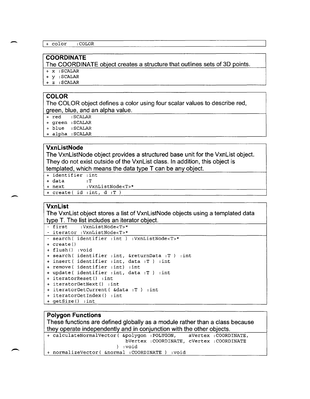```
+ color : COLOR
```
### **COORDINATE**

**The COORDINATE object creates a structure that outlines sets of 3D points.** 

+ x :SCALAR

- + y :SCALAR
- + z :SCALAR

### **COLOR**

-

 $\overline{\phantom{a}}$ 

**The COLOR object defines a color using four scalar values to describe red, green, blue. and an alpha value.** 

- + red : SCALAR
- + green :SCALAR
- + blue :SCALAR
- + alpha : SCALAR

### **VxnListNode**

**The VxnListNode object provides a structured base unit for the VxnList object. They do not exist outside of the VxnList class. In addition, this object is templated. which means the data type T can be any object.** 

- <sup>+</sup>identifier :int
- <sup>+</sup>data :T
- + next :VxnListNode<T>\*
- <sup>+</sup>create ( id :int, d :T )

### **VxnList**

**The VxnList object stores a list of VxnListNode objects using a templated data type T. The list includes an iterator object.** 

```
- first :VxnListNode<T>* 
- iterator :VxnListNode<T>* 
- search( identifier :int ) :VxnListNode<T>* 
+create () 
+flush () :void 
+search ( identifier :int, &returnData :T ) :int 
+insert ( identifier :int, data :T ) :int 
+remove ( identifier :int) :int 
+update( identifier :int, data :T ) :int 
+iteratorReset() :int 
+iteratorGetNext() :int 
+iteratorGetCurrent( &data :T ) :int 
+iteratorGetIndex() :int 
+getSize () :int
```
### **Polygon Functions**

**These functions are defined globally as a module rather than a class because they operate independently and in conjunction with the other objects.**<br>
+ calculateNormalVector ( $\epsilon_{\text{polygon}}$  : POLYGON, aVertex : COORDINATE,

+ calculateNormalVector( &polygon : POLYGON, bVertex : COORDINATE, cVertex :COORDINATE ) :void + normalizeVector( &normal :COORDINATE ) :void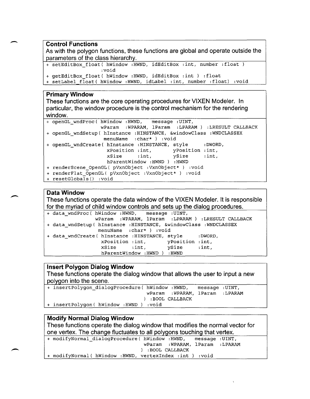- **Control Functions As with the polygon functions, these functions are global and operate outside the parameters of the class hierarchy.** 

```
+ setEditBox float( hWindow : HWND, idEditBox : int, number :float)
                   :void
```

```
+ getEditBox_float( hWindow :HWND, idEditBox :int ) :float
```

```
+ setLabel float( hWindow : HWND, idLabel :int, number :float) :void
```
### **Primary Window**

**These functions are the core operating procedures for VIXEN Modeler. In particular, the window procedure is the control mechanism for the rendering window.** 

| + openGL wndProc ( hWindow : HWND, message : UINT,                  |
|---------------------------------------------------------------------|
| wParam : WPARAM, lParam : LPARAM ) : LRESULT CALLBACK               |
| + openGL wndSetup( hInstance : HINSTANCE, &windowClass : WNDCLASSEX |
| menuName : char* ) : void                                           |
| + openGL wndCreate( hInstance : HINSTANCE, style : DWORD,           |
| xPosition : int, yPosition : int,                                   |
| $xSize$ : int, $ySize$ : int,                                       |
| hParentWindow : HWND ) : HWND                                       |
| + renderScene OpenGL( pVxnObject :VxnObject* ) :void                |
| + renderFlat OpenGL( pVxnObject :VxnObject* ) :void                 |
| + resetGlobals() :void                                              |

### **Data Window**

**These functions operate the data window of the VIXEN Modeler. It is responsible for the myriad of child window controls and sets up the dialog procedures.** 

```
+ data wndProc( hWindow : HWND,
              wParam :WPARAM, lParam :LPARAM) :LRESULT CALLBACK 
+ data wndSetup( hInstance :HINSTANCE, &windowClass :WNDCLASSEX
               menuName :char*) :void 
+ data wndCreate( hInstance :HINSTANCE, style :DWORD,
                 xPosition :int, yPosition :int, 
                 xSize : int, ySize : int,
                hParentWindow : HWND ) : HWND
```
### **Insert Polygon Dialog Window**

**These functions operate the dialog window that allows the user to input a new polygon into the scene.** 

| + insertPolygon dialogProcedure ( hWindow : HWND, message : UINT, |                                  |  |
|-------------------------------------------------------------------|----------------------------------|--|
|                                                                   | wParam : WPARAM, lParam : LPARAM |  |
|                                                                   | ) :BOOL CALLBACK                 |  |
| + insertPolygon( hWindow :HWND ) :void                            |                                  |  |

+ modifyNormal( hWindow : HWND, vertexIndex :int ) :void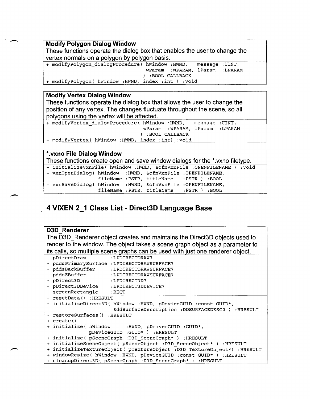### **Modify Polygon Dialog Window**

 $\overline{\phantom{a}}$ 

.-

**These functions operate the dialog box that enables the user to change the vertex normals on a polygon by polygon basis.** 

+ modifyPolygon\_dialogProcedure( hWindow : HWND, message :UINT, wParam :WPARAM, lParam :LPARAM ) :BOOL CALLBACK <sup>+</sup>modifyPolygon( hWindow : HWND, index :int ) :void

### **Modify Vertex Dialog Window**

**These functions operate the dialog box that allows the user to change the position of any vertex. The changes fluctuate throughout the scene, so all polygons using the vertex will be affected.** 

+ modifyVertex\_dialogProcedure( hwindow :HWND, message :UINT, wParam :WPARAM, lParam :LPARAM ) :BOOL CALLBACK <sup>+</sup>modifyVertex( hWindow : HWND, index :int) :void

| *. vxno File Dialog Window                                    |                                                                              |  |                                                                       |  |  |  |
|---------------------------------------------------------------|------------------------------------------------------------------------------|--|-----------------------------------------------------------------------|--|--|--|
|                                                               | These functions create open and save window dialogs for the *.vxno filetype. |  |                                                                       |  |  |  |
|                                                               |                                                                              |  | + initializeVxnFile( hWindow :HWND, &ofnVxnFile :OPENFILENAME ) :void |  |  |  |
| + vxnOpenDialog( hWindow : HWND, & ofnVxnFile : OPENFILENAME, |                                                                              |  |                                                                       |  |  |  |
|                                                               |                                                                              |  | fileName : PSTR, titleName : PSTR ) : BOOL                            |  |  |  |
| + vxnSaveDialog( hWindow : HWND, &ofnVxnFile : OPENFILENAME,  |                                                                              |  |                                                                       |  |  |  |
|                                                               |                                                                              |  | fileName : PSTR, titleName : PSTR ) : BOOL                            |  |  |  |

## \_ **4 VIXEN 2\_1 Class List - Direct3D Language Base**

| <b>D3D Renderer</b>                                                            |  |  |
|--------------------------------------------------------------------------------|--|--|
| The D3D_Renderer object creates and maintains the Direct3D objects used to     |  |  |
| render to the window. The object takes a scene graph object as a parameter to  |  |  |
| its calls, so multiple scene graphs can be used with just one renderer object. |  |  |
|                                                                                |  |  |
| - pDirectDraw<br>:LPDIRECTDRAW7                                                |  |  |
| - pddsPrimarySurface :LPDIRECTDRAWSURFACE7                                     |  |  |
| - pddsBackBuffer :LPDIRECTDRAWSURFACE7                                         |  |  |
| - pddsZBuffer<br>:LPDIRECTDRAWSURFACE7                                         |  |  |
| - pDirect3D<br>:LPDIRECT3D7                                                    |  |  |
| - pDirect3DDevice :LPDIRECT3DDEVICE7                                           |  |  |
| - screenRectangle : RECT                                                       |  |  |
| - resetData() :HRESULT                                                         |  |  |
| - initializeDirect3D( hWindow : HWND, pDeviceGUID : const GUID*,               |  |  |
| &ddSurfaceDescription :DDSURFACEDESC2 ) :HRESULT                               |  |  |
| - restoreSurfaces() : HRESULT                                                  |  |  |
| + create()                                                                     |  |  |
| + initialize( hWindow : HWND, pDriverGUID : GUID*,                             |  |  |
| pDeviceGUID : GUID* ) : HRESULT                                                |  |  |
| + initialize( pSceneGraph :D3D_SceneGraph*) :HRESULT                           |  |  |
| + initializeSceneObject ( pSceneObject : D3D SceneObject* ) : HRESULT          |  |  |
| + initializeTextureObject( pTextureObject :D3D TextureObject*) :HRESULT        |  |  |
| + windowResize( hWindow : HWND, pDeviceGUID : const GUID* ) : HRESULT          |  |  |
| + cleanupDirect3D( pSceneGraph :D3D SceneGraph* ) :HRESULT                     |  |  |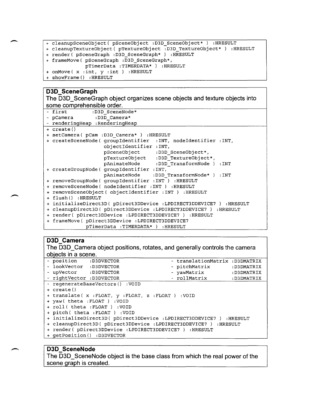```
+ cleanupSceneObject( pSceneObject :D3D_SceneObject* ) :HRESULT
```

```
+ cleanupTextureObject( pTextureObject :D3D_TextureObject* ) :HRESULT
```
+ render( pSceneGraph :D3D\_SceneGraph\* ) :HRESULT

```
+ frameMove( pSceneGraph :D3D_SceneGraph*,
```

```
pTimerData :TIMERDATA* ) :HRESULT
```

```
+ onMove( x :int, y :int ) :HRESULT
```

```
+ showFrame() :HRESULT
```
### **D3D** SceneGraph

-

**The D3D\_SceneGraph object organizes scene objects and texture objects into some comprehensible order.** 

| - first :D3D SceneNode*                                             |
|---------------------------------------------------------------------|
| - pCamera :D3D Camera*                                              |
| - renderingHeap : RenderingHeap                                     |
| + create()                                                          |
| + setCamera ( pCam : D3D Camera* ) : HRESULT                        |
| + createSceneNode( qroupIdentifier : INT, nodeIdentifier : INT,     |
| objectIdentifier : INT,                                             |
| pSceneObject :D3D_SceneObject*,                                     |
| pTextureObject :D3D TextureObject*,                                 |
| pAnimateNode :D3D_TransformNode ) :INT                              |
| + createGroupNode( groupIdentifier : INT,                           |
| pAnimateNode :D3D TransformNode* ) :INT                             |
| + removeGroupNode ( groupIdentifier : INT ) : HRESULT               |
| + removeSceneNode( nodeIdentifier : INT ) : HRESULT                 |
| + removeSceneObject ( objectIdentifier : INT ) : HRESULT            |
| + flush() :HRESULT                                                  |
| + initializeDirect3D( pDirect3DDevice :LPDIRECT3DDEVICE7 ) :HRESULT |
| + cleanupDirect3D( pDirect3DDevice :LPDIRECT3DDEVICE7 ) :HRESULT    |
| + render( pDirect3DDevice :LPDIRECT3DDEVICE7 ) :HRESULT             |
| + frameMove( pDirect3DDevice :LPDIRECT3DDEVICE7                     |
| pTimerData : TIMERDATA* ) : HRESULT                                 |

**D3D\_Camera**<br>The D3D\_Camera object positions, rotates, and generally controls the camera **objects in a scene.** 

| - position : D3DVECTOR                                              |                                 |  | - translationMatrix : D3DMATRIX |            |
|---------------------------------------------------------------------|---------------------------------|--|---------------------------------|------------|
| - lookVector :D3DVECTOR                                             |                                 |  | - pitchMatrix                   | :D3DMATRIX |
| - upVector :D3DVECTOR                                               |                                 |  | - yawMatrix                     | :D3DMATRIX |
| - rightVector :D3DVECTOR                                            |                                 |  | - rollMatrix                    | :D3DMATRIX |
|                                                                     | - regenerateBaseVectors() :VOID |  |                                 |            |
| + create()                                                          |                                 |  |                                 |            |
| + translate(x:FLOAT, y:FLOAT, z:FLOAT) :VOID                        |                                 |  |                                 |            |
| + yaw( theta : FLOAT ) : VOID                                       |                                 |  |                                 |            |
| + roll( theta : FLOAT ) : VOID                                      |                                 |  |                                 |            |
| + pitch( theta : FLOAT ) : VOID                                     |                                 |  |                                 |            |
| + initializeDirect3D( pDirect3DDevice :LPDIRECT3DDEVICE7 ) :HRESULT |                                 |  |                                 |            |
| + cleanupDirect3D( pDirect3DDevice :LPDIRECT3DDEVICE7 ) :HRESULT    |                                 |  |                                 |            |
| + render( pDirect3DDevice :LPDIRECT3DDEVICE7 ) :HRESULT             |                                 |  |                                 |            |
|                                                                     | + qetPosition() :D3DVECTOR      |  |                                 |            |

### **D3D\_SceneNode**

 $\overline{\phantom{0}}$ 

**The D3D \_ SceneNode object is the base class from which the real power of the**   $s$ cene graph is created.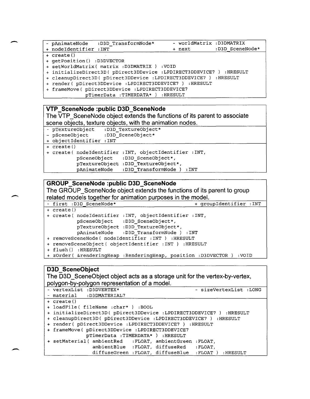|            |                            | - pAnimateNode :D3D TransformNode*          | - worldMatrix :D3DMATRIX                                                                                                                                                                                                                                                                                                                  |                 |
|------------|----------------------------|---------------------------------------------|-------------------------------------------------------------------------------------------------------------------------------------------------------------------------------------------------------------------------------------------------------------------------------------------------------------------------------------------|-----------------|
|            | + nodeIdentifier :INT      |                                             | + next                                                                                                                                                                                                                                                                                                                                    | :D3D SceneNode* |
| + create() |                            |                                             |                                                                                                                                                                                                                                                                                                                                           |                 |
|            | + qetPosition() :D3DVECTOR |                                             |                                                                                                                                                                                                                                                                                                                                           |                 |
|            |                            | + setWorldMatrix( matrix: D3DMATRIX) : VOID |                                                                                                                                                                                                                                                                                                                                           |                 |
|            |                            |                                             | $\mathbf{r}$ , $\mathbf{r}$ , $\mathbf{r}$ , $\mathbf{r}$ , $\mathbf{r}$ , $\mathbf{r}$ , $\mathbf{r}$ , $\mathbf{r}$ , $\mathbf{r}$ , $\mathbf{r}$ , $\mathbf{r}$ , $\mathbf{r}$ , $\mathbf{r}$ , $\mathbf{r}$ , $\mathbf{r}$ , $\mathbf{r}$ , $\mathbf{r}$ , $\mathbf{r}$ , $\mathbf{r}$ , $\mathbf{r}$ , $\mathbf{r}$ , $\mathbf{r}$ , | $\ldots$ more m |

+ initializeDirect3D( pDirect3DDevice :LPDIRECT3DDEVICE7 ) :HRESULT

+ cleanupDirect3D( pDirect3DDevice :LPDIRECT3DDEVICE7 ) :HRESULT

+ render ( pDirect3DDevice :LPDIRECT3DDEVICE7 ) :HRESULT

+ frameMove( pDirect3DDevice :LPDIRECT3DDEVICE7

pTimerData :TIMERDATA\* ) :HRESULT

### **VTP \_SceneNode :public D3D\_SceneNode**

**The VTP \_SceneNode object extends the functions of its parent to associate scene objects, texture objects, with the animation nodes.** 

- pTextureObject :D3D\_TextureObject\*<br>- pSceneObject :D3D SceneObject\*
- :D3D SceneObject\*

+ objectIdentifier :INT

+ create ()

 $\overline{\phantom{a}}$ 

-

-

+ create ( nodeldentifier :INT, objectldentifier :INT, pSceneObject :D3D\_SceneObject\*, pTextureObject :D3D\_TextureObject\*, pAnimateNode :D3D TransformNode ) :INT

### **GROUP \_SceneNode :public D3D\_SceneNode**

The GROUP SceneNode object extends the functions of its parent to group **related models together for animation purposes in the model.** 

| - first : D3D SceneNode*                           | + qroupIdentifier : INT                                              |
|----------------------------------------------------|----------------------------------------------------------------------|
| $+ \, \text{create}()$                             |                                                                      |
|                                                    | + create( nodeIdentifier : INT, objectIdentifier : INT,              |
|                                                    | pSceneObject :D3D SceneObject*,                                      |
|                                                    | pTextureObject : D3D TextureObject*,                                 |
|                                                    | pAnimateNode :D3D TransformNode ) :INT                               |
| + removeSceneNode( nodeIdentifier : INT ) :HRESULT |                                                                      |
|                                                    | + removeSceneObject ( objectIdentifier : INT ) : HRESULT             |
| + flush() :HRESULT                                 |                                                                      |
|                                                    | + zOrder( &renderingHeap :RenderingHeap, position :D3DVECTOR ) :VOID |

### **D3D SceneObject**

**The 030 \_SceneObject object acts as a storage unit for the vertex-by-vertex, polygon-by-polygon representation of a model.** 

| - vertexList : D3DVERTEX*                                           | - sizeVertexList : LONG                              |
|---------------------------------------------------------------------|------------------------------------------------------|
| - material :D3DMATERIAL7                                            |                                                      |
| + create()                                                          |                                                      |
| + loadFile( fileName : char* ) :BOOL                                |                                                      |
| + initializeDirect3D( pDirect3DDevice :LPDIRECT3DDEVICE7 ) :HRESULT |                                                      |
| + cleanupDirect3D( pDirect3DDevice :LPDIRECT3DDEVICE7 ) :HRESULT    |                                                      |
| + render( pDirect3DDevice :LPDIRECT3DDEVICE7 ) :HRESULT             |                                                      |
| + frameMove( pDirect3DDevice :LPDIRECT3DDEVICE7                     |                                                      |
| pTimerData : TIMERDATA* ) : HRESULT                                 |                                                      |
| + setMaterial( ambientRed : FLOAT, ambientGreen : FLOAT,            |                                                      |
| ambientBlue : FLOAT, diffuseRed : FLOAT,                            |                                                      |
|                                                                     | diffuseGreen: FLOAT, diffuseBlue: FLOAT)<br>:HRESULT |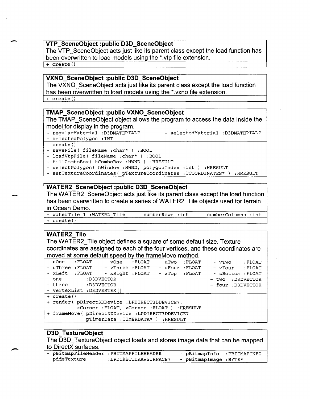### **VTP \_SceneObject :public D3D\_SceneObject**

The VTP SceneObject acts just like its parent class except the load function has been overwritten to load models using the \*.vtp file extension.

+ create ()

-

 $\overline{\phantom{a}}$ 

### **VXNO\_SceneObject :public D3D\_SceneObject**

The VXNO\_SceneObject acts just like its parent class except the load function has been overwritten to load models using the \*.vxno file extension. + create ()

### **TMAP \_SceneObject :public VXNO\_SceneObject**

The TMAP SceneObject object allows the program to access the data inside the model for display in the program.

- regularMaterial :D3DMATERIAL7 selectedMaterial :D3DMATERIAL7
- selectedPolygon :INT
- + create ()
- + saveFile( fileName :char\* ) : BOOL
- <sup>+</sup>loadVtpFile( fileName :char\* ) : BOOL
- + fillComboBox( hComboBox :HWND ) :HRESULT
- + selectPolygon( hWindow : HWND, polygonIndex : int ) : HRESULT
- + setTextureCoordinates( pTextureCoordinates : TCOORDINATES\* ) : HRESULT

### **WATER2\_SceneObject :public D3D\_SceneObject**

The WATER2\_SceneObject acts just like its parent class except the load function has been overwritten to create a series of WATER2 Tile objects used for terrain in Ocean Demo.

- waterTile 1 : WATER2 Tile - numberRows : int - numberColumns : int + create ()

### **WATER2\_Tile**

The WATER2\_ Tile object defines a square of some default size. Texture coordinates are assigned to each of the four vertices, and these coordinates are moved at some default speed by the frameMove method.

| - uOne : FLOAT                                  | - vOne : FLOAT                               | - uTwo :FLOAT  | - vTwo : FLOAT                   |  |
|-------------------------------------------------|----------------------------------------------|----------------|----------------------------------|--|
| - uThree :FLOAT - vThree :FLOAT                 |                                              | - uFour :FLOAT | - vFour : FLOAT                  |  |
| - xLeft :FLOAT - xRight :FLOAT                  |                                              |                | - zTop : FLOAT - zBottom : FLOAT |  |
| - one :D3DVECTOR                                |                                              |                | - two : D3DVECTOR                |  |
| - three :D3DVECTOR                              |                                              |                | - four : D3DVECTOR               |  |
| - vertexList :D3DVERTEX[]                       |                                              |                |                                  |  |
| + create()                                      |                                              |                |                                  |  |
| + render( pDirect3DDevice :LPDIRECT3DDEVICE7,   |                                              |                |                                  |  |
|                                                 | xCorner : FLOAT, zCorner : FLOAT ) : HRESULT |                |                                  |  |
| + frameMove( pDirect3DDevice :LPDIRECT3DDEVICE7 |                                              |                |                                  |  |
|                                                 | pTimerData : TIMERDATA* ) : HRESULT          |                |                                  |  |

#### **030\_ TextureObject**

The D3D TextureObject object loads and stores image data that can be mapped to DirectX surfaces.

|               | - pBitmapFileHeader : PBITMAPFILEHEADER | - pBitmapInfo :PBITMAPINFO |  |
|---------------|-----------------------------------------|----------------------------|--|
| - pddsTexture | :LPDIRECTDRAWSURFACE7                   | - pBitmapImage :BYTE*      |  |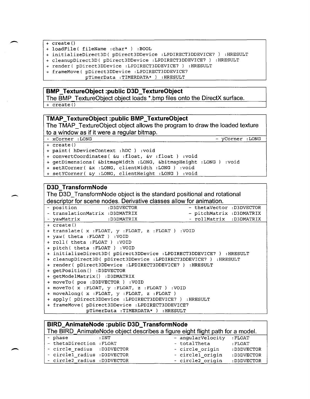- <sup>+</sup>create ()
- + loadFile( fileName :char\* ) :BOOL
- + initializeDirect3D( pDirect3DDevice :LPDIRECT3DDEVICE7 ) :HRESULT
- + cleanupDirect3D( pDirect3DDevice :LPDIRECT3DDEVICE7 ) :HRESULT
- + render ( pDirect3DDevice :LPDIRECT3DDEVICE7 ) :HRESULT
- + frameMove( pDirect3DDevice :LPDIRECT3DDEVICE7

pTimerData :TIMERDATA\* ) :HRESULT

#### **BMP \_TextureObject :public D3D\_TextureObject**

**The BMP TextureObject object loads \*.bmp files onto the DirectX surface.** 

<sup>+</sup>create ()

### **TMAP \_ TextureObject :public BMP \_ TextureObject**

The TMAP TextureObject object allows the program to draw the loaded texture **to a window as if it were a regular bitmap.** 

- xCorner : LONG - yCorner : LONG

+ create ()

 $\overline{\phantom{0}}$ 

- <sup>+</sup>paint ( hDeviceContext :hDC ) :void
- <sup>+</sup>convertCoordinates( &u :float, &v :float ) :void

+ getDimensions( &bitmapwidth : LONG, &bitmapHeight :LONG ) :void

+ setXCorner( &x : LONG, clientWidth :LONG ) :void + setYCorner( &y : LONG, clientHeight :LONG ) :void

#### **D3D \_ TransformNode**

**The 030\_ TransformNode object is the standard positional and rotational descriptor for scene nodes. Derivative classes allow for animation.** 

| - position : D3DVECTOR<br>- thetaVector :D3DVECTOR                  |
|---------------------------------------------------------------------|
| - translationMatrix : D3DMATRIX<br>- pitchMatrix : D3DMATRIX        |
| - rollMatrix :D3DMATRIX<br>- yawMatrix :D3DMATRIX                   |
| + create()                                                          |
| + translate( x : FLOAT, y : FLOAT, z : FLOAT ) : VOID               |
| + yaw( theta : FLOAT ) : VOID                                       |
| + roll( theta : FLOAT ) : VOID                                      |
| + pitch( theta : FLOAT ) : VOID                                     |
| + initializeDirect3D( pDirect3DDevice :LPDIRECT3DDEVICE7 ) :HRESULT |
| + cleanupDirect3D( pDirect3DDevice :LPDIRECT3DDEVICE7 ) :HRESULT    |
| + render( pDirect3DDevice :LPDIRECT3DDEVICE7 ) :HRESULT             |
| + getPosition() :D3DVECTOR                                          |
| + getModelMatrix() :D3DMATRIX                                       |
| + moveTo ( pos : D3DVECTOR ) : VOID                                 |
| + moveTo( x :FLOAT, y :FLOAT, z :FLOAT ) :VOID                      |
| + moveAlong( x : FLOAT, y : FLOAT, z : FLOAT)                       |
| + apply( pDirect3DDevice :LPDIRECT3DDEVICE7 ) :HRESULT              |
| + frameMove( pDirect3DDevice :LPDIRECT3DDEVICE7                     |

pTimerData :TIMERDATA\* ) :HRESULT

### **BIRD\_AnimateNode :public D3D\_TransformNode**

|                              |                   | The BIRD AnimateNode object describes a figure eight flight path for a model. |             |
|------------------------------|-------------------|-------------------------------------------------------------------------------|-------------|
| - phase                      | $\,:\mathrm{INT}$ | - angularVelocity : FLOAT                                                     |             |
| - thetaDirection : FLOAT     |                   | - totalTheta                                                                  | $:$ FLOAT   |
| - circle radius : D3DVECTOR  |                   | - circle origin                                                               | :D3DVECTOR  |
| - circle1 radius : D3DVECTOR |                   | - circle1 origin                                                              | : D3DVECTOR |
| - circle2 radius :D3DVECTOR  |                   | - circle2 origin                                                              | :D3DVECTOR  |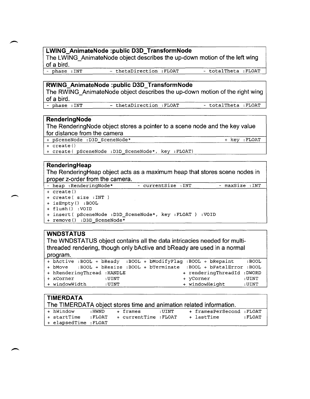### **LWING\_AnimateNode :public D3D\_TransformNode**

**The LWING\_AnimateNode object describes the up-down motion of the left wing of a bird.** 

- thetaDirection :FLOAT - total Theta :FLOAT

#### **RWING\_AnimateNode :public D3D\_TransformNode**

**The RWING\_AnimateNode object describes the up-down motion of the right wing of a bird.** 

- phase :INT - thetaDirection :FLOAT - totalTheta :FLOAT

#### **RenderingNode**

**The RenderingNode object stores a pointer to a scene node and the key value for distance from the camera** 

+ pSceneNode :D3D SceneNode\* + key :FLOAT

+ create ()

+ create ( pSceneNode :D3D SceneNode\*, key : FLOAT)

#### **RenderingHeap**

**The RenderingHeap object acts as a maximum heap that stores scene nodes in proper z-order from the camera.** 

- heap : RenderingNode\* - currentSize : INT - maxSize : INT

+ create ()

+ create ( size :INT )

+ isEmpty () : BOOL

+ flush () :VOID

- + insert( pSceneNode :D3D SceneNode\*, key :FLOAT ) :VOID
- + remove () :D3D SceneNode\*

### **WNDSTATUS**

**The WNDSTATUS object contains all the data intricacies needed for multithreaded rendering, though only bActive and bReady are used in a normal program.** 

|                             |  |       |  |  | + bActive :BOOL + bReady :BOOL + bModifyFlag :BOOL + bRepaint        | :BOOL |
|-----------------------------|--|-------|--|--|----------------------------------------------------------------------|-------|
|                             |  |       |  |  | + bMove :BOOL + bResize :BOOL + bTerminate :BOOL + bFatalError :BOOL |       |
| + hRenderingThread : HANDLE |  |       |  |  | + renderingThreadId : DWORD                                          |       |
| + xCorner                   |  | :UINT |  |  | + yCorner                                                            | :UINT |
| + windowWidth               |  | :UINT |  |  | + windowHeight                                                       | :UINT |

| <b>TIMERDATA</b>     |        |                             |       | The TIMERDATA object stores time and animation related information. |         |  |
|----------------------|--------|-----------------------------|-------|---------------------------------------------------------------------|---------|--|
| + hWindow            | : HWND | + frames                    | :UINT | + framesPerSecond : FLOAT                                           |         |  |
| + startTime          |        | :FLOAT + currentTime :FLOAT |       | + lastTime                                                          | : FLOAT |  |
| + elapsedTime :FLOAT |        |                             |       |                                                                     |         |  |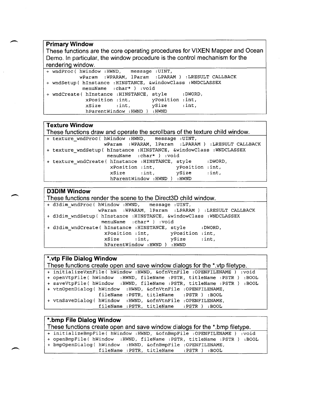### **Primary Window**

**These functions are the core operating procedures for VIXEN Mapper and Ocean Demo. In particular, the window procedure is the control mechanism for the rendering window.** 

| + wndProc( hWindow : HWND, message : UINT, |                               |                                                    |                                                               |
|--------------------------------------------|-------------------------------|----------------------------------------------------|---------------------------------------------------------------|
|                                            |                               |                                                    | wParam : WPARAM, lParam : LPARAM ) : LRESULT CALLBACK         |
|                                            |                               |                                                    | + wndSetup ( hInstance : HINSTANCE, &windowClass : WNDCLASSEX |
|                                            | menuName : char* ) : void     |                                                    |                                                               |
|                                            |                               | + wndCreate( hInstance : HINSTANCE, style : DWORD, |                                                               |
|                                            |                               | xPosition : int, yPosition : int,                  |                                                               |
|                                            |                               | $xSize$ : int, $ySize$ : int,                      |                                                               |
|                                            | hParentWindow : HWND ) : HWND |                                                    |                                                               |

### **Texture Window**

**These functions draw and operate the scrollbars of the texture child window.**  + texture wndProc( hWindow : HWND, message : UINT, wParam :WPARAM, lParam :LPARAM) :LRESULT CALLBACK + texture wndSetup( hInstance :HINSTANCE, &windowClass :WNDCLASSEX menuName :char\*) :void + texture\_wndCreate( hInstance :HINSTANCE, style :DWORD,<br>xPosition :int, yPosition :int, xPosition :int,<br>xSize :int, ySize :int, xSize : int, ySize : int, hParentWindow :HWND ) :HWND

### **D3DIM Window**

**These functions render the scene to the Direct3D child window.** 

| + d3dim wndProc( hWindow : HWND, message : UINT, |                            |                                                                    |                                                       |
|--------------------------------------------------|----------------------------|--------------------------------------------------------------------|-------------------------------------------------------|
|                                                  |                            |                                                                    | wParam : WPARAM, lParam : LPARAM ) : LRESULT CALLBACK |
|                                                  |                            | + d3dim wndSetup( hInstance : HINSTANCE, &windowClass : WNDCLASSEX |                                                       |
|                                                  | menuName : char* ) : void  |                                                                    |                                                       |
|                                                  |                            | + d3dim wndCreate( hInstance :HINSTANCE, style :DWORD,             |                                                       |
|                                                  |                            | xPosition : int, yPosition : int,                                  |                                                       |
|                                                  |                            | xSize : int. vSize : int.                                          |                                                       |
|                                                  | hParentWindow:HWND ) :HWND |                                                                    |                                                       |

### **\*.vtp File Dialog Window**

**These functions create open and save window dialogs for the \*.vtp filetype.**  <sup>+</sup>initializevxnFile( hWindow : HWND, &ofnVtnFile :OPENFILENAME ) :void + openVtpFile( hwindow :HWND, fileName :PSTR, titleName :PSTR ) :BOOL + saveVtpFile( hWindow :HWND, fileName :PSTR, titleName :PSTR ) :BOOL + vtnOpenDialog( hWindow : HWND, &ofnVtnFile :OPENFILENAME, fileName :PSTR, titleName :PSTR) :BOOL + vtnSaveDialog( hWindow : HWND, &ofnVtnFile :OPENFILENAME, fileName :PSTR, titleName :PSTR) :BOOL

### **\* .bmp File Dialog Window**

**These functions create open and save window dialogs for the \*.bmp filetype.** 

<sup>+</sup>initializeBmpFile( hWindow : HWND, &ofnBmpFile :OPENFILENAME ) :void

+ openBmpFile( hWindow :HWND, fileName :PSTR, titleName :PSTR ) :BOOL

+ bmpOpenDialog( hWindow :HWND, &ofnBmpFile :OPENFILENAME,

fileName :PSTR, titleName :PSTR) :BOOL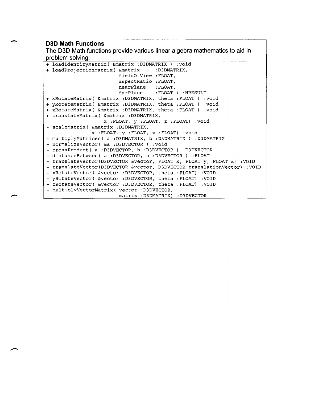### **030 Math Functions**

 $\overline{\phantom{a}}$ 

 $\overline{\phantom{a}}$ 

**The D3D Math functions provide various linear algebra mathematics to aid in problem solving.** 

+ loadldentityMatrix( &matrix :D3DMATRIX ) :void + loadProjectionMatrix( &matrix fieldOfView : FLOAT, aspectRatio : FLOAT, nearPlane : FLOAT,<br>farPlane : FLOAT : FLOAT ) : HRESULT <sup>+</sup>xRotateMatrix( &matrix :D3DMATRIX, theta :FLOAT ) :void <sup>+</sup>yRotateMatrix( &matrix :D3DMATRIX, theta :FLOAT ) :void <sup>+</sup>zRotateMatrix( &matrix :D3DMATRIX, theta :FLOAT ) :void + translateMatrix( &matrix :D3DMATRIX, x : FLOAT, y : FLOAT, z : FLOAT) :void + scaleMatrix( &matrix :D3DMATRIX, x : FLOAT, y : FLOAT, z : FLOAT) :void + multiplyMatrices( a :D3DMATRIX, b :D3DMATRIX ) :D3DMATRIX + normalizeVector( &a :D3DVECTOR ) :void + crossProduct( a :D3DVECTOR, b :D3DVECTOR ) :D3DVECTOR + distanceBetween( a :D3DVECTOR, b :D3DVECTOR ) :FLOAT + translateVector(D3DVECTOR &vector, FLOAT x, FLOAT y, FLOAT z) :VOID <sup>+</sup>translateVector(D3DVECTOR &vector, D3DVECTOR translationVector) :VOID <sup>+</sup>xRotateVector( &vector :D3DVECTOR, theta : FLOAT) :VOID <sup>+</sup>yRotateVector( &vector :D3DVECTOR, theta : FLOAT) :VOID <sup>+</sup>zRotateVector( &vector :D3DVECTOR, theta : FLOAT) :VOID <sup>+</sup>multiplyVectorMatrix( vector :D3DVECTOR, matrix :D3DMATRIX) :D3DVECTOR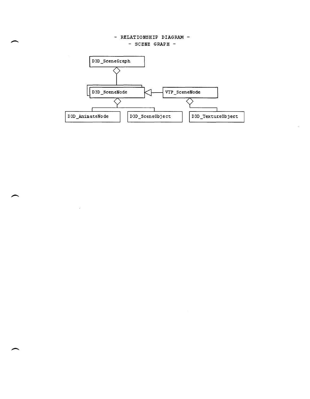#### - RELATIONSHIP DIAGRAM - - SCENE GRAPH -



 $\mathcal{A}^{\prime}$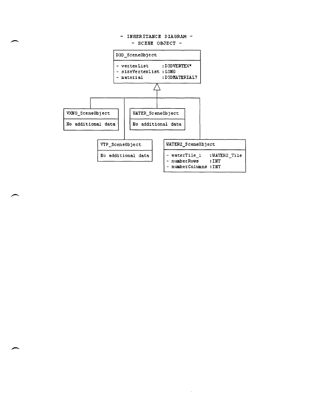

 $\ddot{\phantom{a}}$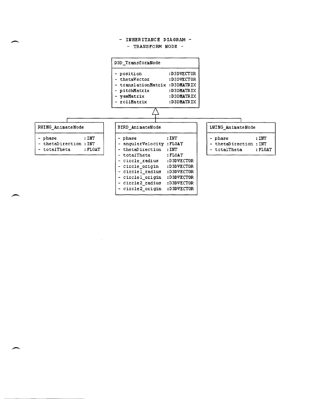#### - INHERITANCE DIAGRAM -- TRANSFORM NODE -

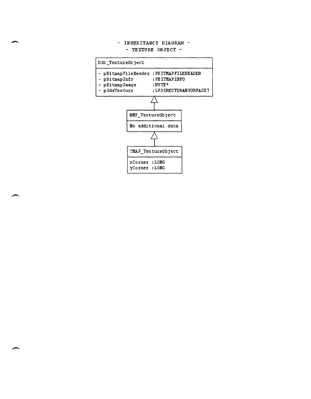#### - INHERITANCE DIAGRAM -- TEXTURE OBJECT -

| D3D TextureObject                              |                               |                                                                                                  |  |
|------------------------------------------------|-------------------------------|--------------------------------------------------------------------------------------------------|--|
| – pBitmapInfo<br>- pBitmapImaqe<br>pddsTexture |                               | pBitmapFileHeader: PBITMAPFILEHEADER<br>: PB ITMAP INFO<br>$:$ BYTE $*$<br>:LPDIRECTDRAWSURFACE7 |  |
|                                                |                               | BMP TextureObject<br>No additional data                                                          |  |
|                                                |                               | TMAP TextureObject                                                                               |  |
|                                                | xCorner:LONG<br>yCorner :LONG |                                                                                                  |  |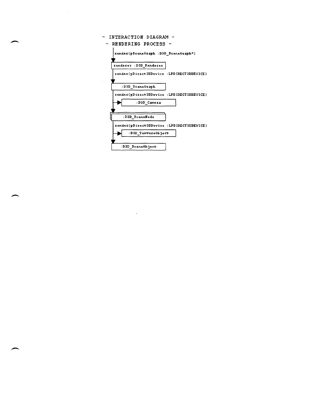| INTERACTION DIAGRAM -                     |
|-------------------------------------------|
| RENDERING PROCESS -<br>-                  |
| render(pSceneGraph : D3D SceneGraph*)     |
| renderer : D3D Renderer                   |
| render(pDirect3DDevice :LPDIRECT3DDEVICE) |
| :D3D SceneGraph                           |
| render(pDirect3DDevice :LPDIRECT3DDEVICE) |
| :D3D Camera                               |
| :D3D SceneMode                            |
| render(pDirect3DDevice :LPDIRECT3DDEVICE) |
| :D3D TextureObject                        |
| :D3D SceneObject                          |

 $\label{eq:2.1} \frac{1}{2} \sum_{i=1}^n \frac{1}{2} \sum_{j=1}^n \frac{1}{2} \sum_{j=1}^n \frac{1}{2} \sum_{j=1}^n \frac{1}{2} \sum_{j=1}^n \frac{1}{2} \sum_{j=1}^n \frac{1}{2} \sum_{j=1}^n \frac{1}{2} \sum_{j=1}^n \frac{1}{2} \sum_{j=1}^n \frac{1}{2} \sum_{j=1}^n \frac{1}{2} \sum_{j=1}^n \frac{1}{2} \sum_{j=1}^n \frac{1}{2} \sum_{j=1}^n \frac{$ 

 $\label{eq:2.1} \frac{1}{\sqrt{2}}\left(\frac{1}{\sqrt{2}}\right)^{2} \left(\frac{1}{\sqrt{2}}\right)^{2} \left(\frac{1}{\sqrt{2}}\right)^{2} \left(\frac{1}{\sqrt{2}}\right)^{2} \left(\frac{1}{\sqrt{2}}\right)^{2} \left(\frac{1}{\sqrt{2}}\right)^{2} \left(\frac{1}{\sqrt{2}}\right)^{2} \left(\frac{1}{\sqrt{2}}\right)^{2} \left(\frac{1}{\sqrt{2}}\right)^{2} \left(\frac{1}{\sqrt{2}}\right)^{2} \left(\frac{1}{\sqrt{2}}\right)^{2} \left(\$